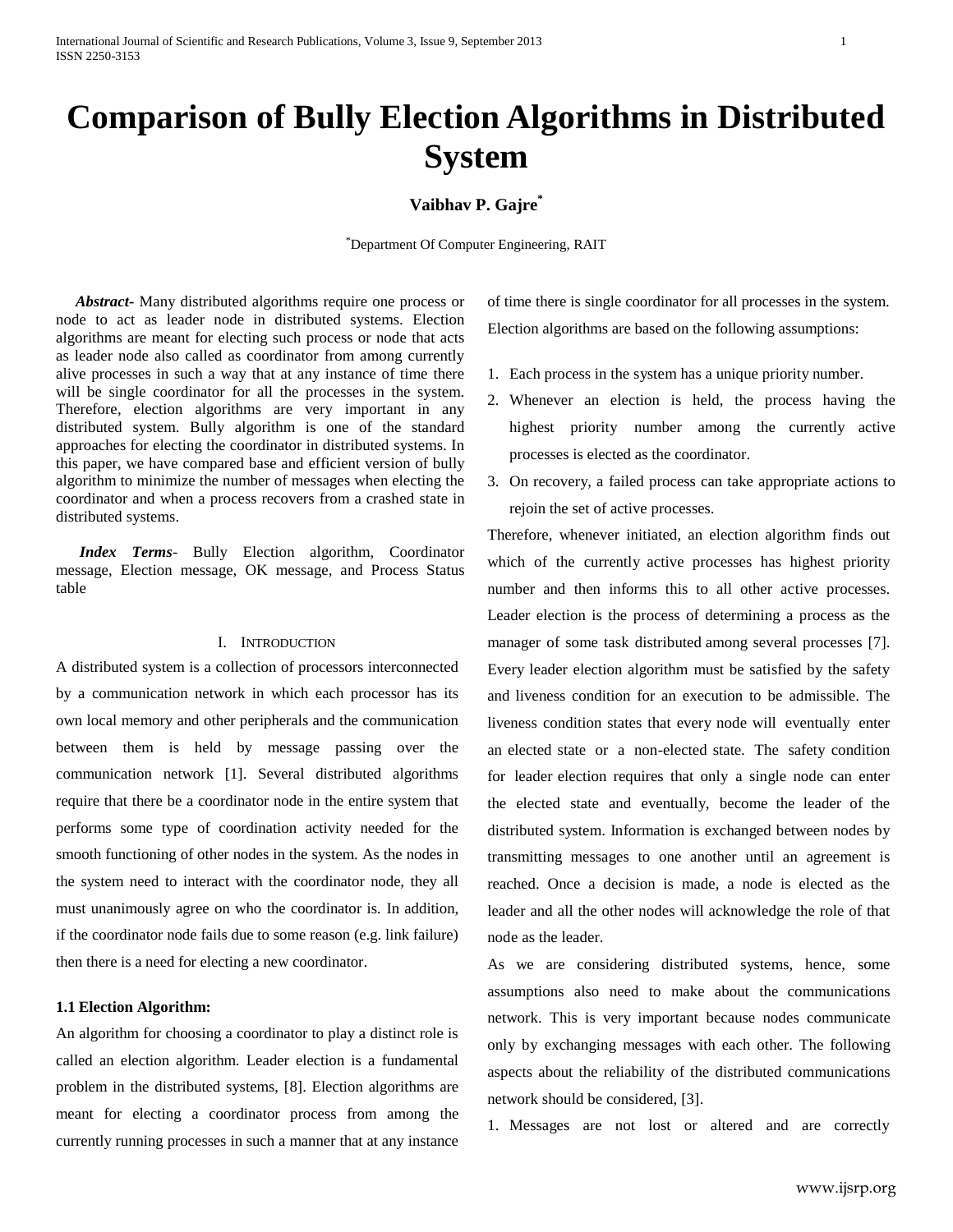# **Comparison of Bully Election Algorithms in Distributed System**

# **Vaibhav P. Gajre\***

\*Department Of Computer Engineering, RAIT

 *Abstract***-** Many distributed algorithms require one process or node to act as leader node in distributed systems. Election algorithms are meant for electing such process or node that acts as leader node also called as coordinator from among currently alive processes in such a way that at any instance of time there will be single coordinator for all the processes in the system. Therefore, election algorithms are very important in any distributed system. Bully algorithm is one of the standard approaches for electing the coordinator in distributed systems. In this paper, we have compared base and efficient version of bully algorithm to minimize the number of messages when electing the coordinator and when a process recovers from a crashed state in distributed systems.

 *Index Terms*- Bully Election algorithm, Coordinator message, Election message, OK message, and Process Status table

## I. INTRODUCTION

A distributed system is a collection of processors interconnected by a communication network in which each processor has its own local memory and other peripherals and the communication between them is held by message passing over the communication network [1]. Several distributed algorithms require that there be a coordinator node in the entire system that performs some type of coordination activity needed for the smooth functioning of other nodes in the system. As the nodes in the system need to interact with the coordinator node, they all must unanimously agree on who the coordinator is. In addition, if the coordinator node fails due to some reason (e.g. link failure) then there is a need for electing a new coordinator.

## **1.1 Election Algorithm:**

An algorithm for choosing a coordinator to play a distinct role is called an election algorithm. Leader election is a fundamental problem in the distributed systems, [8]. Election algorithms are meant for electing a coordinator process from among the currently running processes in such a manner that at any instance of time there is single coordinator for all processes in the system. Election algorithms are based on the following assumptions:

- 1. Each process in the system has a unique priority number.
- 2. Whenever an election is held, the process having the highest priority number among the currently active processes is elected as the coordinator.
- 3. On recovery, a failed process can take appropriate actions to rejoin the set of active processes.

Therefore, whenever initiated, an election algorithm finds out which of the currently active processes has highest priority number and then informs this to all other active processes. Leader election is the process of determining a process as the manager of some task distributed among several processes [7]. Every leader election algorithm must be satisfied by the safety and liveness condition for an execution to be admissible. The liveness condition states that every node will eventually enter an elected state or a non-elected state. The safety condition for leader election requires that only a single node can enter the elected state and eventually, become the leader of the distributed system. Information is exchanged between nodes by transmitting messages to one another until an agreement is reached. Once a decision is made, a node is elected as the leader and all the other nodes will acknowledge the role of that node as the leader.

As we are considering distributed systems, hence, some assumptions also need to make about the communications network. This is very important because nodes communicate only by exchanging messages with each other. The following aspects about the reliability of the distributed communications network should be considered, [3].

1. Messages are not lost or altered and are correctly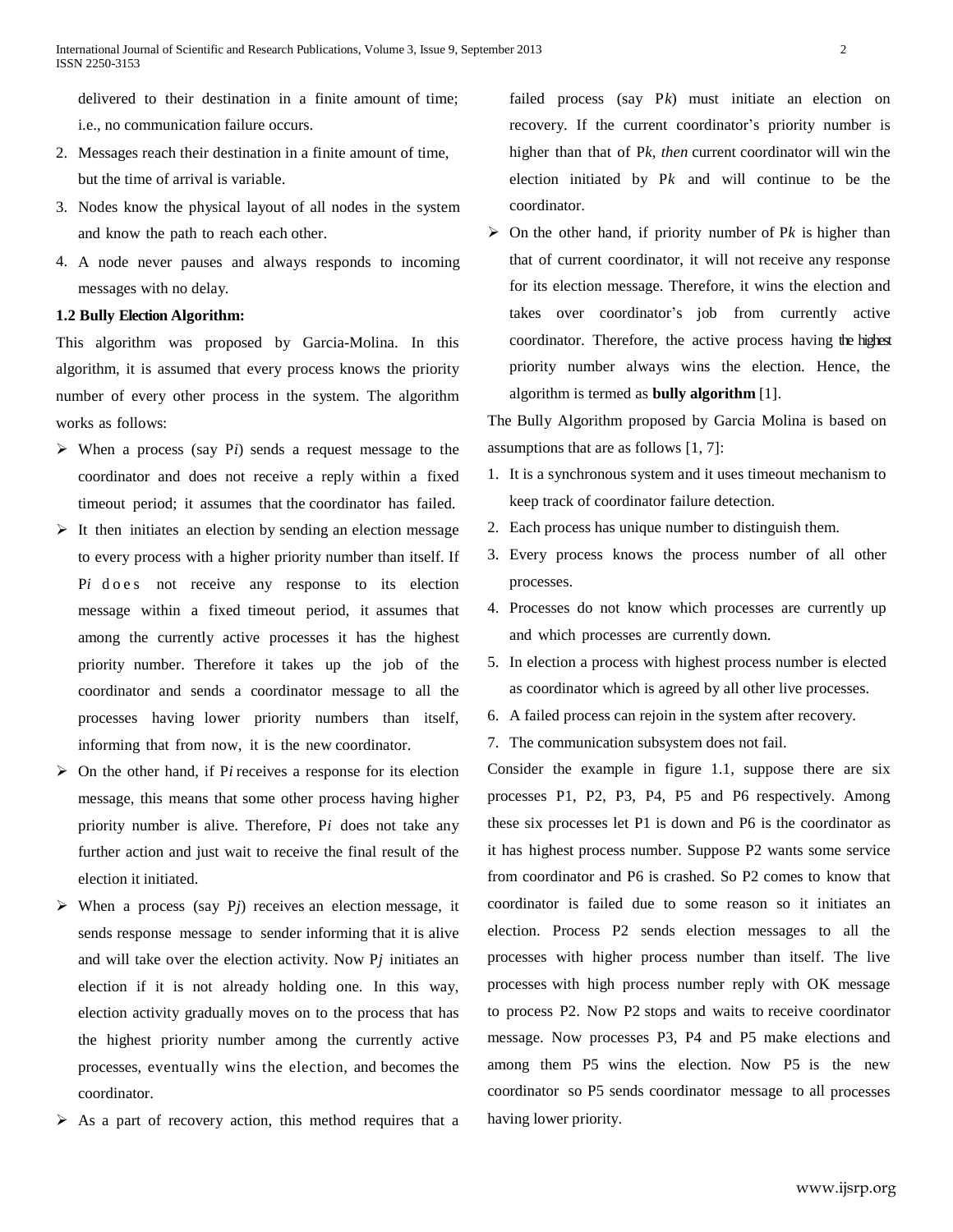delivered to their destination in a finite amount of time; i.e., no communication failure occurs.

- 2. Messages reach their destination in a finite amount of time, but the time of arrival is variable.
- 3. Nodes know the physical layout of all nodes in the system and know the path to reach each other.
- 4. A node never pauses and always responds to incoming messages with no delay.

## **1.2 Bully Election Algorithm:**

This algorithm was proposed by Garcia-Molina. In this algorithm, it is assumed that every process knows the priority number of every other process in the system. The algorithm works as follows:

- When a process (say P*i*) sends a request message to the coordinator and does not receive a reply within a fixed timeout period; it assumes that the coordinator has failed.
- $\triangleright$  It then initiates an election by sending an election message to every process with a higher priority number than itself. If Pi do e s not receive any response to its election message within a fixed timeout period, it assumes that among the currently active processes it has the highest priority number. Therefore it takes up the job of the coordinator and sends a coordinator message to all the processes having lower priority numbers than itself, informing that from now, it is the new coordinator.
- On the other hand, if P*i* receives a response for its election message, this means that some other process having higher priority number is alive. Therefore, P*i* does not take any further action and just wait to receive the final result of the election it initiated.
- $\triangleright$  When a process (say P<sub>j</sub>) receives an election message, it sends response message to sender informing that it is alive and will take over the election activity. Now P*j* initiates an election if it is not already holding one. In this way, election activity gradually moves on to the process that has the highest priority number among the currently active processes, eventually wins the election, and becomes the coordinator.
- As a part of recovery action, this method requires that a

failed process (say P*k*) must initiate an election on recovery. If the current coordinator's priority number is higher than that of P*k, then* current coordinator will win the election initiated by P*k* and will continue to be the coordinator.

 $\triangleright$  On the other hand, if priority number of Pk is higher than that of current coordinator, it will not receive any response for its election message. Therefore, it wins the election and takes over coordinator's job from currently active coordinator. Therefore, the active process having the highest priority number always wins the election. Hence, the algorithm is termed as **bully algorithm** [1].

The Bully Algorithm proposed by Garcia Molina is based on assumptions that are as follows [1, 7]:

- 1. It is a synchronous system and it uses timeout mechanism to keep track of coordinator failure detection.
- 2. Each process has unique number to distinguish them.
- 3. Every process knows the process number of all other processes.
- 4. Processes do not know which processes are currently up and which processes are currently down.
- 5. In election a process with highest process number is elected as coordinator which is agreed by all other live processes.
- 6. A failed process can rejoin in the system after recovery.
- 7. The communication subsystem does not fail.

Consider the example in figure 1.1, suppose there are six processes P1, P2, P3, P4, P5 and P6 respectively. Among these six processes let P1 is down and P6 is the coordinator as it has highest process number. Suppose P2 wants some service from coordinator and P6 is crashed. So P2 comes to know that coordinator is failed due to some reason so it initiates an election. Process P2 sends election messages to all the processes with higher process number than itself. The live processes with high process number reply with OK message to process P2. Now P2 stops and waits to receive coordinator message. Now processes P3, P4 and P5 make elections and among them P5 wins the election. Now P5 is the new coordinator so P5 sends coordinator message to all processes having lower priority.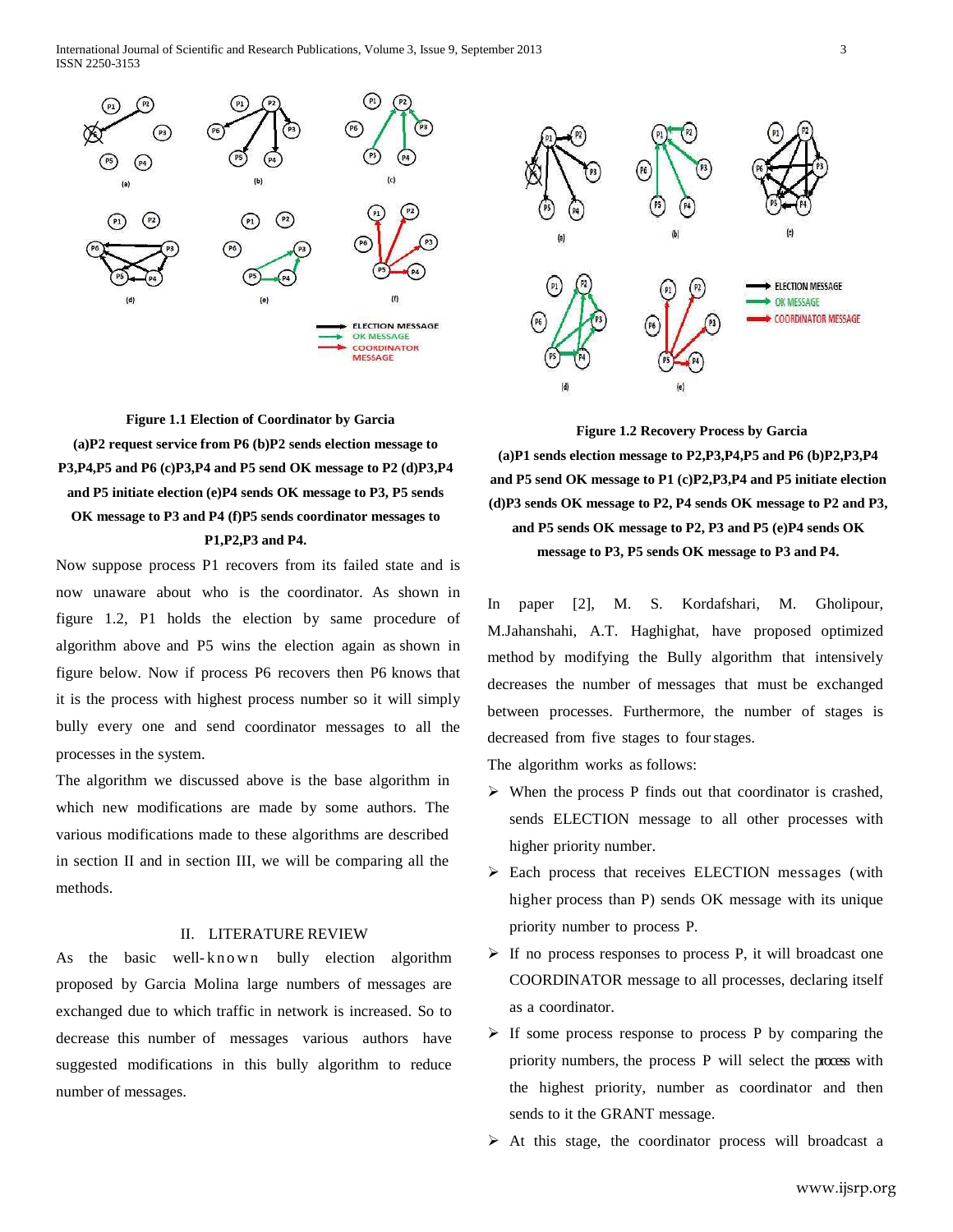International Journal of Scientific and Research Publications, Volume 3, Issue 9, September 2013 3 ISSN 2250-3153





**Figure 1.1 Election of Coordinator by Garcia (a)P2 request service from P6 (b)P2 sends election message to P3,P4,P5 and P6 (c)P3,P4 and P5 send OK message to P2 (d)P3,P4 and P5 initiate election (e)P4 sends OK message to P3, P5 sends OK message to P3 and P4 (f)P5 sends coordinator messages to P1,P2,P3 and P4.**

Now suppose process P1 recovers from its failed state and is now unaware about who is the coordinator. As shown in figure 1.2, P1 holds the election by same procedure of algorithm above and P5 wins the election again as shown in figure below. Now if process P6 recovers then P6 knows that it is the process with highest process number so it will simply bully every one and send coordinator messages to all the processes in the system.

The algorithm we discussed above is the base algorithm in which new modifications are made by some authors. The various modifications made to these algorithms are described in section II and in section III, we will be comparing all the methods.

## II. LITERATURE REVIEW

As the basic well-known bully election algorithm proposed by Garcia Molina large numbers of messages are exchanged due to which traffic in network is increased. So to decrease this number of messages various authors have suggested modifications in this bully algorithm to reduce number of messages.

**Figure 1.2 Recovery Process by Garcia (a)P1 sends election message to P2,P3,P4,P5 and P6 (b)P2,P3,P4 and P5 send OK message to P1 (c)P2,P3,P4 and P5 initiate election (d)P3 sends OK message to P2, P4 sends OK message to P2 and P3, and P5 sends OK message to P2, P3 and P5 (e)P4 sends OK message to P3, P5 sends OK message to P3 and P4.**

In paper [2], M. S. Kordafshari, M. Gholipour, M.Jahanshahi, A.T. Haghighat, have proposed optimized method by modifying the Bully algorithm that intensively decreases the number of messages that must be exchanged between processes. Furthermore, the number of stages is decreased from five stages to fourstages.

The algorithm works as follows:

- $\triangleright$  When the process P finds out that coordinator is crashed, sends ELECTION message to all other processes with higher priority number.
- Each process that receives ELECTION messages (with higher process than P) sends OK message with its unique priority number to process P.
- $\triangleright$  If no process responses to process P, it will broadcast one COORDINATOR message to all processes, declaring itself as a coordinator.
- $\triangleright$  If some process response to process P by comparing the priority numbers, the process P will select the process with the highest priority, number as coordinator and then sends to it the GRANT message.
- $\triangleright$  At this stage, the coordinator process will broadcast a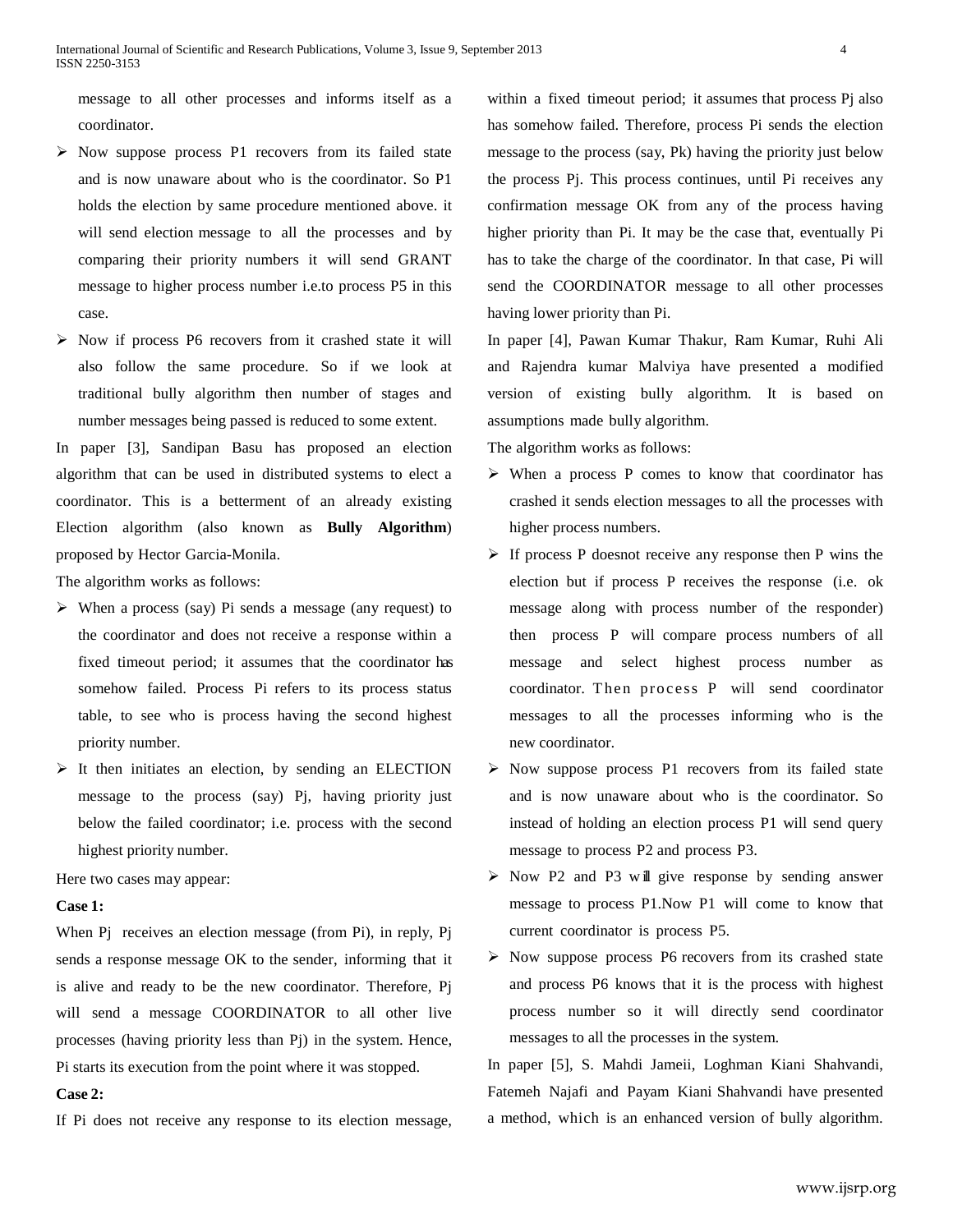message to all other processes and informs itself as a coordinator.

- $\triangleright$  Now suppose process P1 recovers from its failed state and is now unaware about who is the coordinator. So P1 holds the election by same procedure mentioned above. it will send election message to all the processes and by comparing their priority numbers it will send GRANT message to higher process number i.e.to process P5 in this case.
- Now if process P6 recovers from it crashed state it will also follow the same procedure. So if we look at traditional bully algorithm then number of stages and number messages being passed is reduced to some extent.

In paper [3], Sandipan Basu has proposed an election algorithm that can be used in distributed systems to elect a coordinator. This is a betterment of an already existing Election algorithm (also known as **Bully Algorithm**) proposed by Hector Garcia-Monila.

The algorithm works as follows:

- When a process (say) Pi sends a message (any request) to the coordinator and does not receive a response within a fixed timeout period; it assumes that the coordinator has somehow failed. Process Pi refers to its process status table, to see who is process having the second highest priority number.
- $\triangleright$  It then initiates an election, by sending an ELECTION message to the process (say) Pj, having priority just below the failed coordinator; i.e. process with the second highest priority number.

Here two cases may appear:

### **Case 1:**

When Pj receives an election message (from Pi), in reply, Pj sends a response message OK to the sender, informing that it is alive and ready to be the new coordinator. Therefore, Pj will send a message COORDINATOR to all other live processes (having priority less than Pj) in the system. Hence, Pi starts its execution from the point where it was stopped.

# **Case 2:**

If Pi does not receive any response to its election message,

within a fixed timeout period; it assumes that process Pi also has somehow failed. Therefore, process Pi sends the election message to the process (say, Pk) having the priority just below the process Pj. This process continues, until Pi receives any confirmation message OK from any of the process having higher priority than Pi. It may be the case that, eventually Pi has to take the charge of the coordinator. In that case, Pi will send the COORDINATOR message to all other processes having lower priority than Pi.

In paper [4], Pawan Kumar Thakur, Ram Kumar, Ruhi Ali and Rajendra kumar Malviya have presented a modified version of existing bully algorithm. It is based on assumptions made bully algorithm.

The algorithm works as follows:

- $\triangleright$  When a process P comes to know that coordinator has crashed it sends election messages to all the processes with higher process numbers.
- $\triangleright$  If process P doesnot receive any response then P wins the election but if process P receives the response (i.e. ok message along with process number of the responder) then process P will compare process numbers of all message and select highest process number as coordinator. Then process P will send coordinator messages to all the processes informing who is the new coordinator.
- $\triangleright$  Now suppose process P1 recovers from its failed state and is now unaware about who is the coordinator. So instead of holding an election process P1 will send query message to process P2 and process P3.
- $\triangleright$  Now P2 and P3 will give response by sending answer message to process P1.Now P1 will come to know that current coordinator is process P5.
- $\triangleright$  Now suppose process P6 recovers from its crashed state and process P6 knows that it is the process with highest process number so it will directly send coordinator messages to all the processes in the system.

In paper [5], S. Mahdi Jameii, Loghman Kiani Shahvandi, Fatemeh Najafi and Payam Kiani Shahvandi have presented a method, which is an enhanced version of bully algorithm.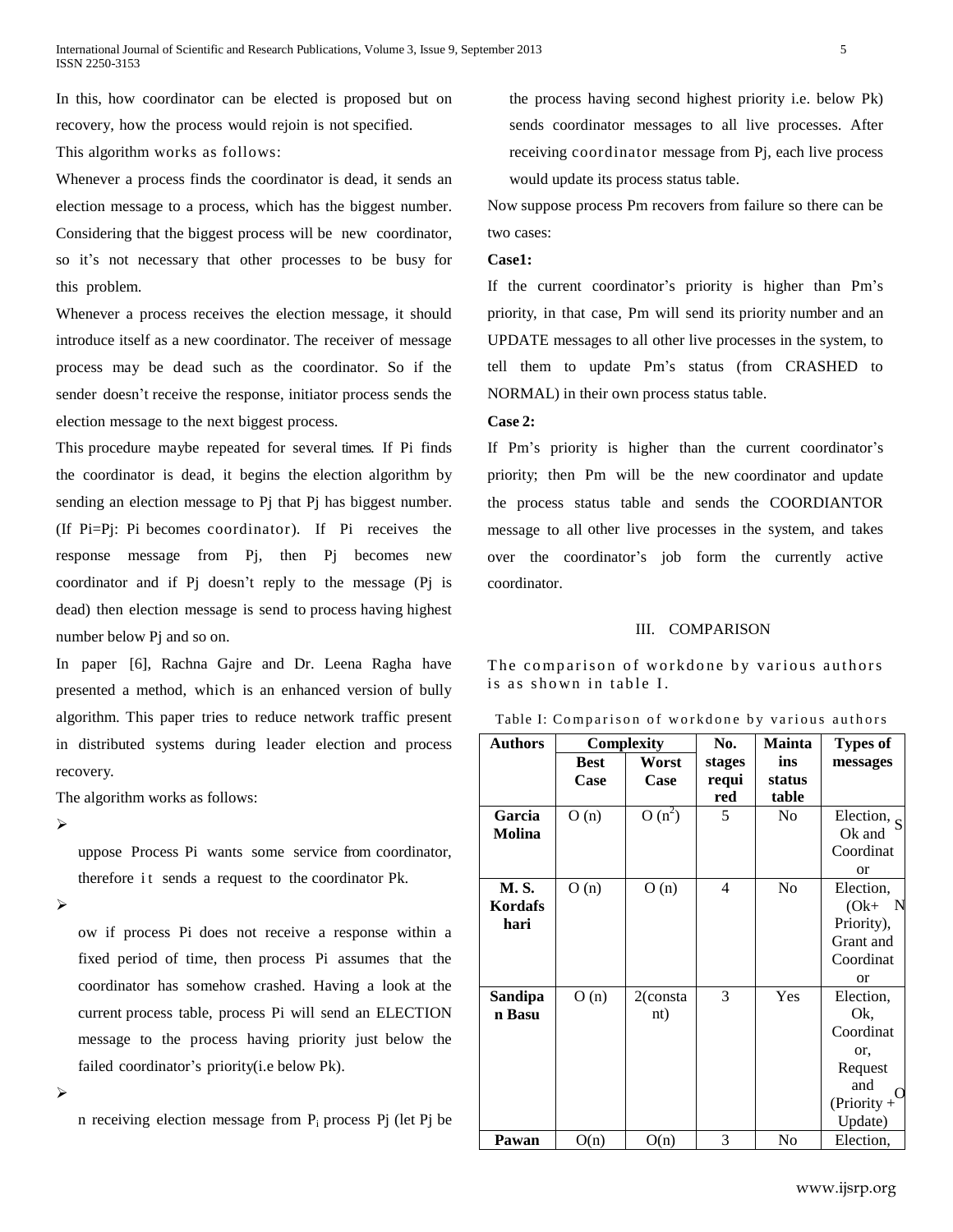In this, how coordinator can be elected is proposed but on recovery, how the process would rejoin is not specified.

This algorithm works as follows:

Whenever a process finds the coordinator is dead, it sends an election message to a process, which has the biggest number. Considering that the biggest process will be new coordinator, so it's not necessary that other processes to be busy for this problem.

Whenever a process receives the election message, it should introduce itself as a new coordinator. The receiver of message process may be dead such as the coordinator. So if the sender doesn't receive the response, initiator process sends the election message to the next biggest process.

This procedure maybe repeated for several times. If Pi finds the coordinator is dead, it begins the election algorithm by sending an election message to Pj that Pj has biggest number. (If Pi=Pj: Pi becomes coordinator). If Pi receives the response message from Pj, then Pj becomes new coordinator and if Pj doesn't reply to the message (Pj is dead) then election message is send to process having highest number below Pj and so on.

In paper [6], Rachna Gajre and Dr. Leena Ragha have presented a method, which is an enhanced version of bully algorithm. This paper tries to reduce network traffic present in distributed systems during leader election and process recovery.

the process having second highest priority i.e. below Pk) sends coordinator messages to all live processes. After receiving coordinator message from Pj, each live process would update its process status table.

Now suppose process Pm recovers from failure so there can be two cases:

### **Case1:**

If the current coordinator's priority is higher than Pm's priority, in that case, Pm will send its priority number and an UPDATE messages to all other live processes in the system, to tell them to update Pm's status (from CRASHED to NORMAL) in their own process status table.

### **Case 2:**

If Pm's priority is higher than the current coordinator's priority; then Pm will be the new coordinator and update the process status table and sends the COORDIANTOR message to all other live processes in the system, and takes over the coordinator's job form the currently active coordinator.

#### III. COMPARISON

The comparison of workdone by various authors is as shown in table I.

Table I: Comparison of workdone by various authors

|                                 | in distributed systems during leader election and process           | <b>Authors</b>         | Complexity  |             | No.<br>stages | <b>Mainta</b><br>ins | <b>Types of</b><br>messages |
|---------------------------------|---------------------------------------------------------------------|------------------------|-------------|-------------|---------------|----------------------|-----------------------------|
|                                 |                                                                     |                        | <b>Best</b> | Worst       |               |                      |                             |
| recovery.                       |                                                                     |                        | Case        | Case        | requi         | status               |                             |
| The algorithm works as follows: |                                                                     |                        |             |             | red           | table                |                             |
| ➤                               |                                                                     | Garcia                 | O(n)        | $O(n^2)$    | 5             | N <sub>0</sub>       | Election, $S$               |
|                                 |                                                                     | <b>Molina</b>          |             |             |               |                      | Ok and                      |
|                                 | uppose Process Pi wants some service from coordinator,              |                        |             |             |               |                      | Coordinat                   |
|                                 | therefore it sends a request to the coordinator Pk.                 |                        |             |             |               |                      | <sub>or</sub>               |
| ➤                               |                                                                     | <b>M.S.</b><br>Kordafs | O(n)        | O(n)        | 4             | N <sub>0</sub>       | Election,                   |
|                                 |                                                                     | hari                   |             |             |               |                      | $(Ok+ N)$<br>Priority),     |
|                                 | ow if process Pi does not receive a response within a               |                        |             |             |               |                      | Grant and                   |
|                                 | fixed period of time, then process Pi assumes that the              |                        |             |             |               |                      | Coordinat                   |
|                                 |                                                                     |                        |             |             |               |                      | <sub>or</sub>               |
|                                 | coordinator has somehow crashed. Having a look at the               | <b>Sandipa</b>         | O(n)        | $2$ (consta | 3             | Yes                  | Election,                   |
|                                 | current process table, process Pi will send an ELECTION             | n Basu                 |             | nt)         |               |                      | Ok.                         |
|                                 |                                                                     |                        |             |             |               |                      | Coordinat                   |
|                                 | message to the process having priority just below the               |                        |             |             |               |                      | or.                         |
|                                 | failed coordinator's priority ( <i>i.e. below Pk</i> ).             |                        |             |             |               |                      | Request                     |
| ⋗                               |                                                                     |                        |             |             |               |                      | and<br>$\Omega$             |
|                                 |                                                                     |                        |             |             |               |                      | $(Priority +$               |
|                                 | n receiving election message from $P_i$ process $P_i$ (let $P_i$ be |                        |             |             |               |                      | Update)                     |
|                                 |                                                                     | Pawan                  | O(n)        | O(n)        | 3             | N <sub>0</sub>       | Election,                   |